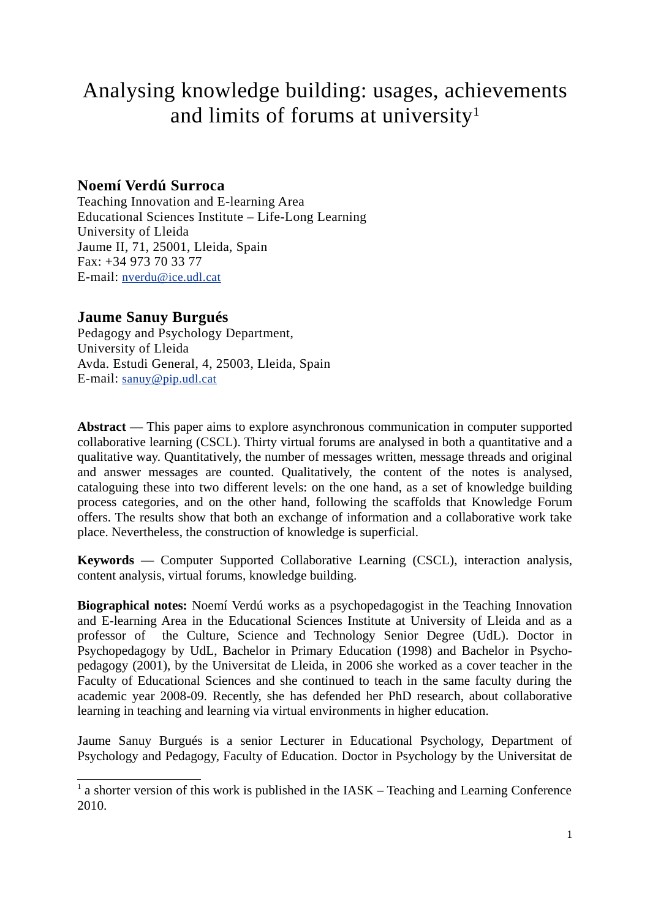# Analysing knowledge building: usages, achievements and limits of forums at university<sup>1</sup>

# **Noemí Verdú Surroca**

Teaching Innovation and E-learning Area Educational Sciences Institute – Life-Long Learning University of Lleida Jaume II, 71, 25001, Lleida, Spain Fax: +34 973 70 33 77 E-mail: nverdu@ice.udl.cat

# **Jaume Sanuy Burgués**

Pedagogy and Psychology Department, University of Lleida Avda. Estudi General, 4, 25003, Lleida, Spain E-mail: sanuy@pip.udl.cat

Abstract — This paper aims to explore asynchronous communication in computer supported collaborative learning (CSCL). Thirty virtual forums are analysed in both a quantitative and a qualitative way. Quantitatively, the number of messages written, message threads and original and answer messages are counted. Qualitatively, the content of the notes is analysed, cataloguing these into two different levels: on the one hand, as a set of knowledge building process categories, and on the other hand, following the scaffolds that Knowledge Forum offers. The results show that both an exchange of information and a collaborative work take place. Nevertheless, the construction of knowledge is superficial.

**Keywords** — Computer Supported Collaborative Learning (CSCL), interaction analysis, content analysis, virtual forums, knowledge building.

**Biographical notes:** Noemí Verdú works as a psychopedagogist in the Teaching Innovation and E-learning Area in the Educational Sciences Institute at University of Lleida and as a professor of the Culture, Science and Technology Senior Degree (UdL). Doctor in Psychopedagogy by UdL, Bachelor in Primary Education (1998) and Bachelor in Psychopedagogy (2001), by the Universitat de Lleida, in 2006 she worked as a cover teacher in the Faculty of Educational Sciences and she continued to teach in the same faculty during the academic year 2008-09. Recently, she has defended her PhD research, about collaborative learning in teaching and learning via virtual environments in higher education.

Jaume Sanuy Burgués is a senior Lecturer in Educational Psychology, Department of Psychology and Pedagogy, Faculty of Education. Doctor in Psychology by the Universitat de

<sup>&</sup>lt;sup>1</sup> a shorter version of this work is published in the IASK – Teaching and Learning Conference 2010.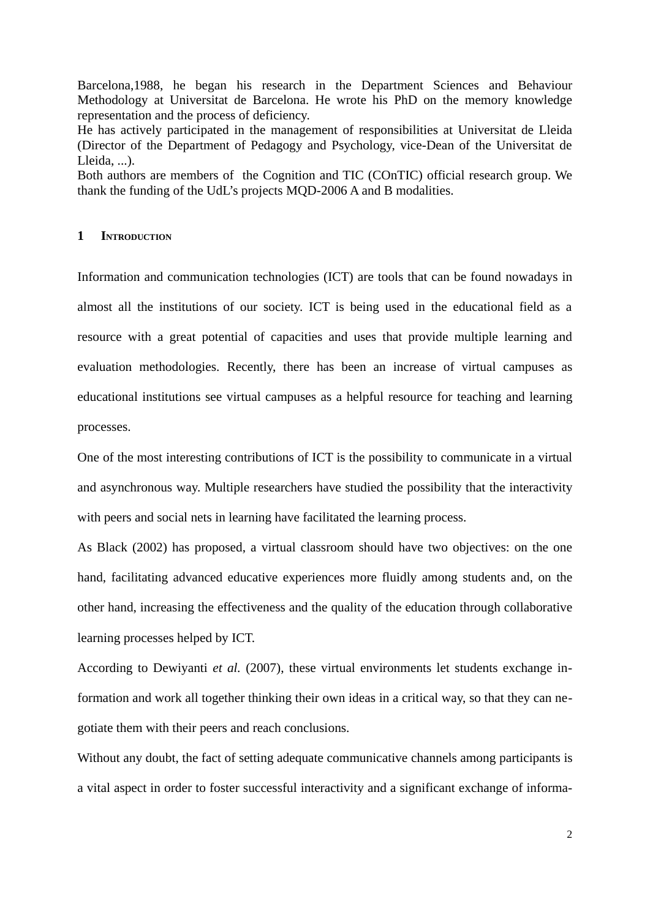Barcelona,1988, he began his research in the Department Sciences and Behaviour Methodology at Universitat de Barcelona. He wrote his PhD on the memory knowledge representation and the process of deficiency.

He has actively participated in the management of responsibilities at Universitat de Lleida (Director of the Department of Pedagogy and Psychology, vice-Dean of the Universitat de Lleida, ...).

Both authors are members of the Cognition and TIC (COnTIC) official research group. We thank the funding of the UdL's projects MQD-2006 A and B modalities.

## **1 INTRODUCTION**

Information and communication technologies (ICT) are tools that can be found nowadays in almost all the institutions of our society. ICT is being used in the educational field as a resource with a great potential of capacities and uses that provide multiple learning and evaluation methodologies. Recently, there has been an increase of virtual campuses as educational institutions see virtual campuses as a helpful resource for teaching and learning processes.

One of the most interesting contributions of ICT is the possibility to communicate in a virtual and asynchronous way. Multiple researchers have studied the possibility that the interactivity with peers and social nets in learning have facilitated the learning process.

As Black (2002) has proposed, a virtual classroom should have two objectives: on the one hand, facilitating advanced educative experiences more fluidly among students and, on the other hand, increasing the effectiveness and the quality of the education through collaborative learning processes helped by ICT.

According to Dewiyanti *et al.* (2007), these virtual environments let students exchange information and work all together thinking their own ideas in a critical way, so that they can negotiate them with their peers and reach conclusions.

Without any doubt, the fact of setting adequate communicative channels among participants is a vital aspect in order to foster successful interactivity and a significant exchange of informa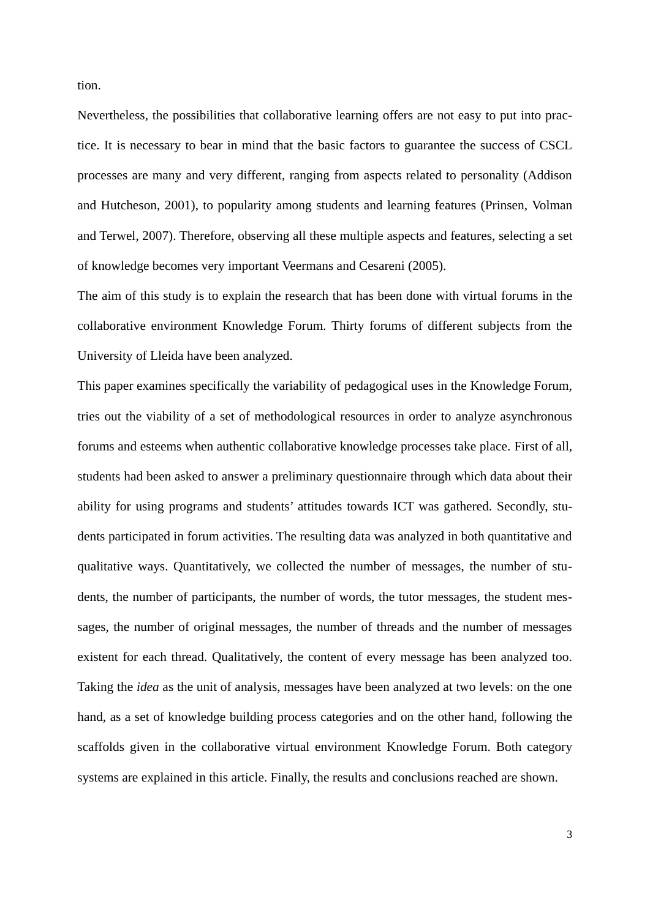tion.

Nevertheless, the possibilities that collaborative learning offers are not easy to put into practice. It is necessary to bear in mind that the basic factors to guarantee the success of CSCL processes are many and very different, ranging from aspects related to personality (Addison and Hutcheson, 2001), to popularity among students and learning features (Prinsen, Volman and Terwel, 2007). Therefore, observing all these multiple aspects and features, selecting a set of knowledge becomes very important Veermans and Cesareni (2005).

The aim of this study is to explain the research that has been done with virtual forums in the collaborative environment Knowledge Forum. Thirty forums of different subjects from the University of Lleida have been analyzed.

This paper examines specifically the variability of pedagogical uses in the Knowledge Forum, tries out the viability of a set of methodological resources in order to analyze asynchronous forums and esteems when authentic collaborative knowledge processes take place. First of all, students had been asked to answer a preliminary questionnaire through which data about their ability for using programs and students' attitudes towards ICT was gathered. Secondly, students participated in forum activities. The resulting data was analyzed in both quantitative and qualitative ways. Quantitatively, we collected the number of messages, the number of students, the number of participants, the number of words, the tutor messages, the student messages, the number of original messages, the number of threads and the number of messages existent for each thread. Qualitatively, the content of every message has been analyzed too. Taking the *idea* as the unit of analysis, messages have been analyzed at two levels: on the one hand, as a set of knowledge building process categories and on the other hand, following the scaffolds given in the collaborative virtual environment Knowledge Forum. Both category systems are explained in this article. Finally, the results and conclusions reached are shown.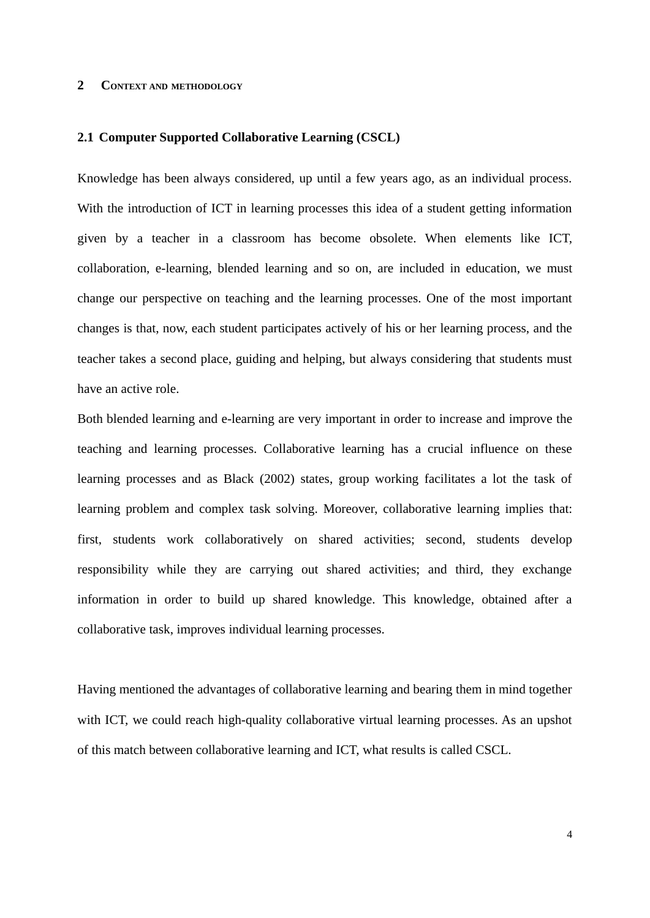# **2 CONTEXT AND METHODOLOGY**

### **2.1 Computer Supported Collaborative Learning (CSCL)**

Knowledge has been always considered, up until a few years ago, as an individual process. With the introduction of ICT in learning processes this idea of a student getting information given by a teacher in a classroom has become obsolete. When elements like ICT, collaboration, e-learning, blended learning and so on, are included in education, we must change our perspective on teaching and the learning processes. One of the most important changes is that, now, each student participates actively of his or her learning process, and the teacher takes a second place, guiding and helping, but always considering that students must have an active role.

Both blended learning and e-learning are very important in order to increase and improve the teaching and learning processes. Collaborative learning has a crucial influence on these learning processes and as Black (2002) states, group working facilitates a lot the task of learning problem and complex task solving. Moreover, collaborative learning implies that: first, students work collaboratively on shared activities; second, students develop responsibility while they are carrying out shared activities; and third, they exchange information in order to build up shared knowledge. This knowledge, obtained after a collaborative task, improves individual learning processes.

Having mentioned the advantages of collaborative learning and bearing them in mind together with ICT, we could reach high-quality collaborative virtual learning processes. As an upshot of this match between collaborative learning and ICT, what results is called CSCL.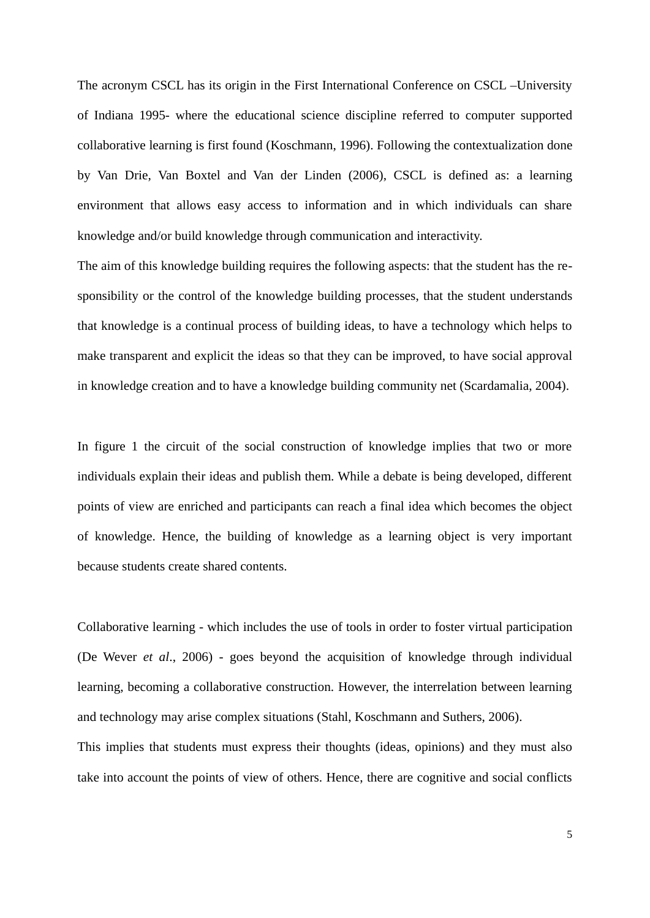The acronym CSCL has its origin in the First International Conference on CSCL –University of Indiana 1995- where the educational science discipline referred to computer supported collaborative learning is first found (Koschmann, 1996). Following the contextualization done by Van Drie, Van Boxtel and Van der Linden (2006), CSCL is defined as: a learning environment that allows easy access to information and in which individuals can share knowledge and/or build knowledge through communication and interactivity.

The aim of this knowledge building requires the following aspects: that the student has the responsibility or the control of the knowledge building processes, that the student understands that knowledge is a continual process of building ideas, to have a technology which helps to make transparent and explicit the ideas so that they can be improved, to have social approval in knowledge creation and to have a knowledge building community net (Scardamalia, 2004).

In figure 1 the circuit of the social construction of knowledge implies that two or more individuals explain their ideas and publish them. While a debate is being developed, different points of view are enriched and participants can reach a final idea which becomes the object of knowledge. Hence, the building of knowledge as a learning object is very important because students create shared contents.

Collaborative learning - which includes the use of tools in order to foster virtual participation (De Wever *et al*., 2006) - goes beyond the acquisition of knowledge through individual learning, becoming a collaborative construction. However, the interrelation between learning and technology may arise complex situations (Stahl, Koschmann and Suthers, 2006). This implies that students must express their thoughts (ideas, opinions) and they must also take into account the points of view of others. Hence, there are cognitive and social conflicts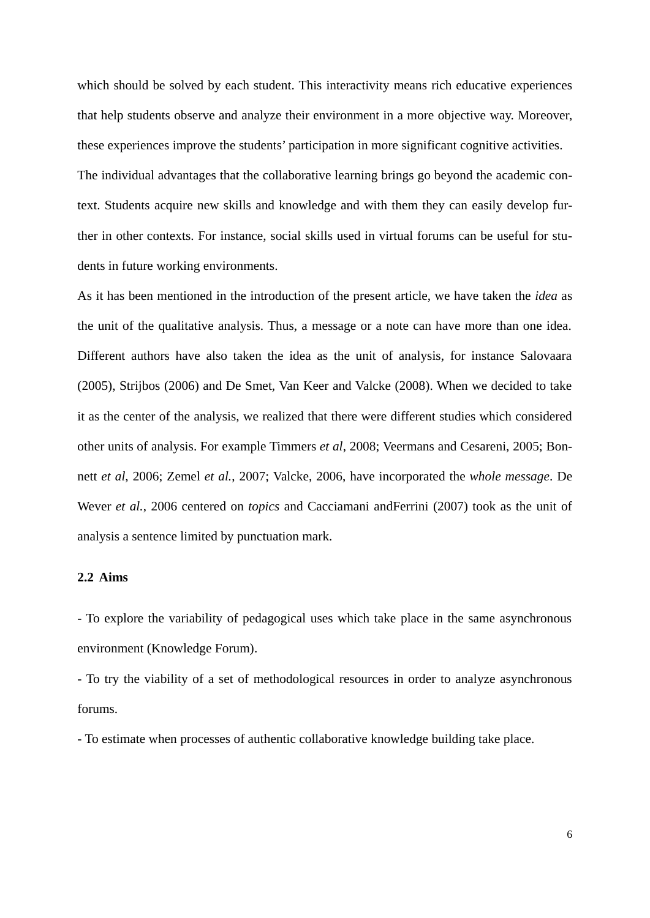which should be solved by each student. This interactivity means rich educative experiences that help students observe and analyze their environment in a more objective way. Moreover, these experiences improve the students' participation in more significant cognitive activities. The individual advantages that the collaborative learning brings go beyond the academic context. Students acquire new skills and knowledge and with them they can easily develop further in other contexts. For instance, social skills used in virtual forums can be useful for students in future working environments.

As it has been mentioned in the introduction of the present article, we have taken the *idea* as the unit of the qualitative analysis. Thus, a message or a note can have more than one idea. Different authors have also taken the idea as the unit of analysis, for instance Salovaara (2005), Strijbos (2006) and De Smet, Van Keer and Valcke (2008). When we decided to take it as the center of the analysis, we realized that there were different studies which considered other units of analysis. For example Timmers *et al*, 2008; Veermans and Cesareni, 2005; Bonnett *et al*, 2006; Zemel *et al.*, 2007; Valcke, 2006, have incorporated the *whole message*. De Wever *et al.*, 2006 centered on *topics* and Cacciamani andFerrini (2007) took as the unit of analysis a sentence limited by punctuation mark.

# **2.2 Aims**

- To explore the variability of pedagogical uses which take place in the same asynchronous environment (Knowledge Forum).

- To try the viability of a set of methodological resources in order to analyze asynchronous forums.

- To estimate when processes of authentic collaborative knowledge building take place.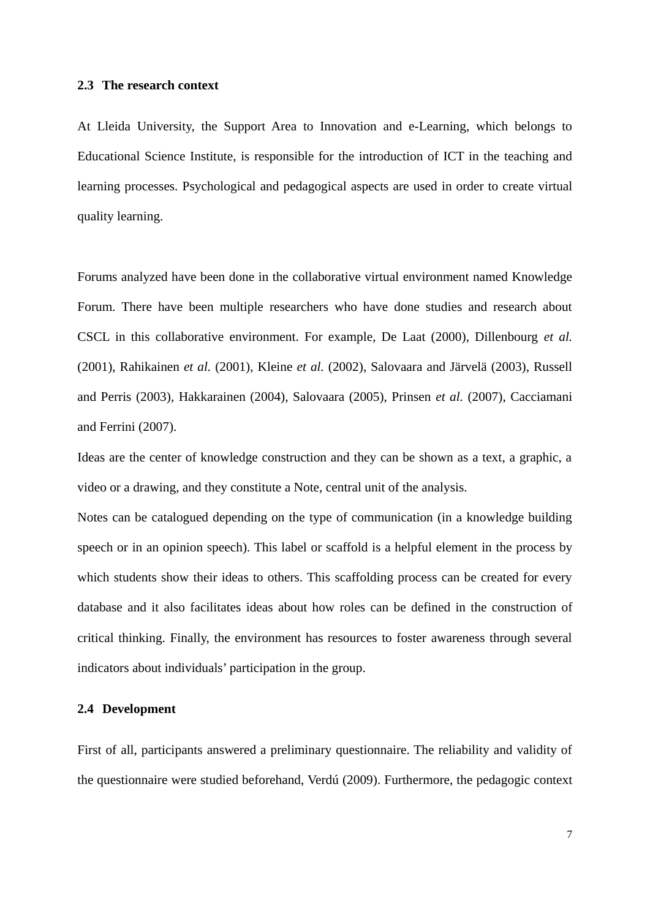#### **2.3 The research context**

At Lleida University, the Support Area to Innovation and e-Learning, which belongs to Educational Science Institute, is responsible for the introduction of ICT in the teaching and learning processes. Psychological and pedagogical aspects are used in order to create virtual quality learning.

Forums analyzed have been done in the collaborative virtual environment named Knowledge Forum. There have been multiple researchers who have done studies and research about CSCL in this collaborative environment. For example, De Laat (2000), Dillenbourg *et al.* (2001), Rahikainen *et al.* (2001), Kleine *et al.* (2002), Salovaara and Järvelä (2003), Russell and Perris (2003), Hakkarainen (2004), Salovaara (2005), Prinsen *et al.* (2007), Cacciamani and Ferrini (2007).

Ideas are the center of knowledge construction and they can be shown as a text, a graphic, a video or a drawing, and they constitute a Note, central unit of the analysis.

Notes can be catalogued depending on the type of communication (in a knowledge building speech or in an opinion speech). This label or scaffold is a helpful element in the process by which students show their ideas to others. This scaffolding process can be created for every database and it also facilitates ideas about how roles can be defined in the construction of critical thinking. Finally, the environment has resources to foster awareness through several indicators about individuals' participation in the group.

#### **2.4 Development**

First of all, participants answered a preliminary questionnaire. The reliability and validity of the questionnaire were studied beforehand, Verdú (2009). Furthermore, the pedagogic context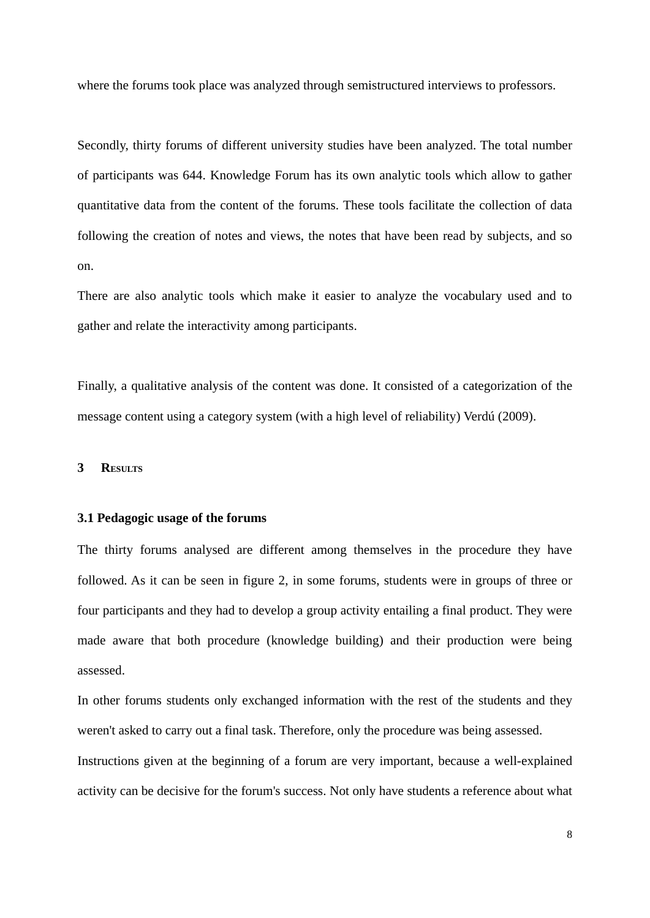where the forums took place was analyzed through semistructured interviews to professors.

Secondly, thirty forums of different university studies have been analyzed. The total number of participants was 644. Knowledge Forum has its own analytic tools which allow to gather quantitative data from the content of the forums. These tools facilitate the collection of data following the creation of notes and views, the notes that have been read by subjects, and so on.

There are also analytic tools which make it easier to analyze the vocabulary used and to gather and relate the interactivity among participants.

Finally, a qualitative analysis of the content was done. It consisted of a categorization of the message content using a category system (with a high level of reliability) Verdú (2009).

#### **3 RESULTS**

## **3.1 Pedagogic usage of the forums**

The thirty forums analysed are different among themselves in the procedure they have followed. As it can be seen in figure 2, in some forums, students were in groups of three or four participants and they had to develop a group activity entailing a final product. They were made aware that both procedure (knowledge building) and their production were being assessed.

In other forums students only exchanged information with the rest of the students and they weren't asked to carry out a final task. Therefore, only the procedure was being assessed. Instructions given at the beginning of a forum are very important, because a well-explained activity can be decisive for the forum's success. Not only have students a reference about what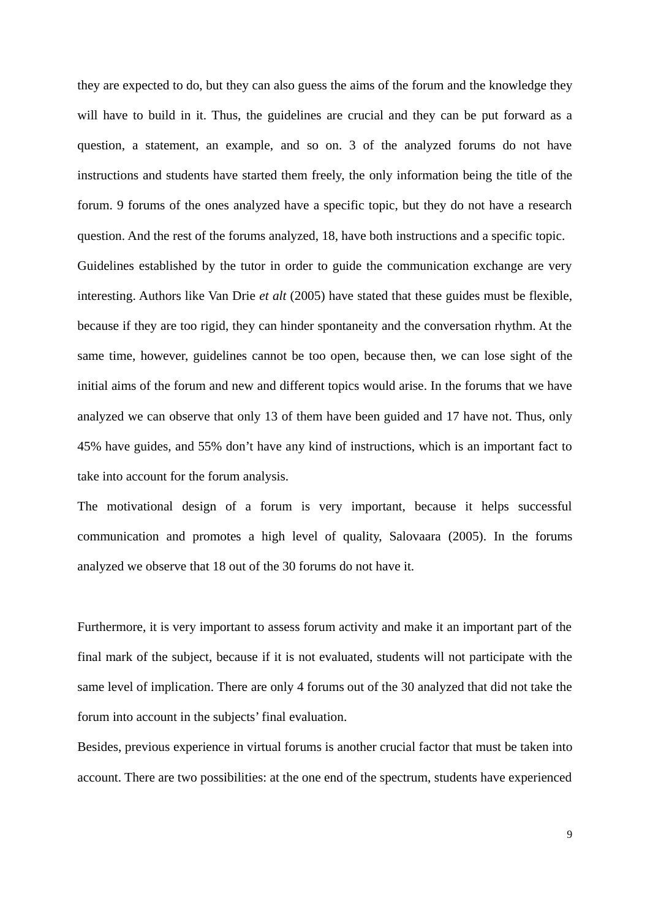they are expected to do, but they can also guess the aims of the forum and the knowledge they will have to build in it. Thus, the guidelines are crucial and they can be put forward as a question, a statement, an example, and so on. 3 of the analyzed forums do not have instructions and students have started them freely, the only information being the title of the forum. 9 forums of the ones analyzed have a specific topic, but they do not have a research question. And the rest of the forums analyzed, 18, have both instructions and a specific topic. Guidelines established by the tutor in order to guide the communication exchange are very interesting. Authors like Van Drie *et alt* (2005) have stated that these guides must be flexible, because if they are too rigid, they can hinder spontaneity and the conversation rhythm. At the same time, however, guidelines cannot be too open, because then, we can lose sight of the initial aims of the forum and new and different topics would arise. In the forums that we have analyzed we can observe that only 13 of them have been guided and 17 have not. Thus, only 45% have guides, and 55% don't have any kind of instructions, which is an important fact to take into account for the forum analysis.

The motivational design of a forum is very important, because it helps successful communication and promotes a high level of quality, Salovaara (2005). In the forums analyzed we observe that 18 out of the 30 forums do not have it.

Furthermore, it is very important to assess forum activity and make it an important part of the final mark of the subject, because if it is not evaluated, students will not participate with the same level of implication. There are only 4 forums out of the 30 analyzed that did not take the forum into account in the subjects' final evaluation.

Besides, previous experience in virtual forums is another crucial factor that must be taken into account. There are two possibilities: at the one end of the spectrum, students have experienced

9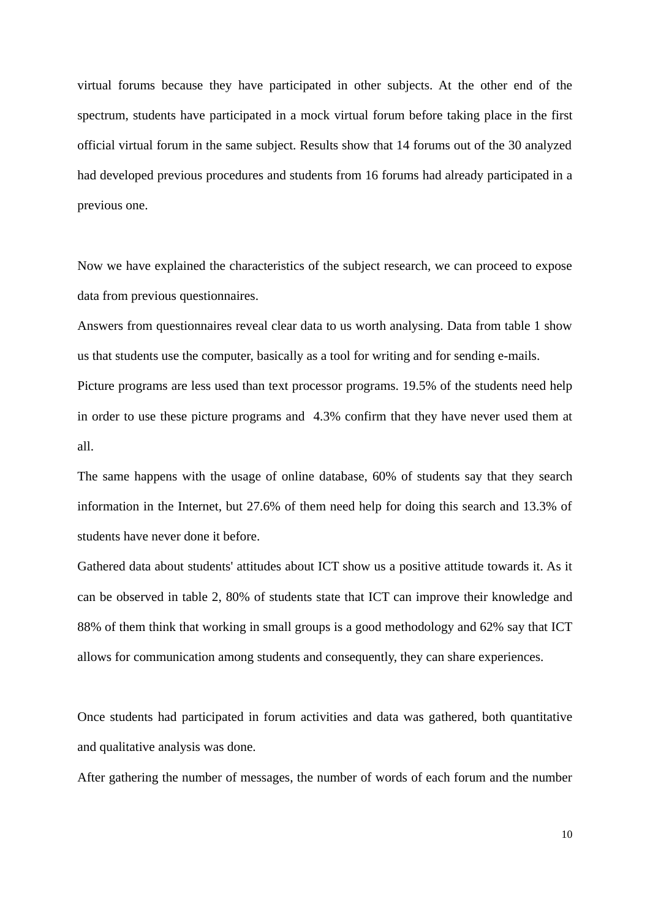virtual forums because they have participated in other subjects. At the other end of the spectrum, students have participated in a mock virtual forum before taking place in the first official virtual forum in the same subject. Results show that 14 forums out of the 30 analyzed had developed previous procedures and students from 16 forums had already participated in a previous one.

Now we have explained the characteristics of the subject research, we can proceed to expose data from previous questionnaires.

Answers from questionnaires reveal clear data to us worth analysing. Data from table 1 show us that students use the computer, basically as a tool for writing and for sending e-mails.

Picture programs are less used than text processor programs. 19.5% of the students need help in order to use these picture programs and 4.3% confirm that they have never used them at all.

The same happens with the usage of online database, 60% of students say that they search information in the Internet, but 27.6% of them need help for doing this search and 13.3% of students have never done it before.

Gathered data about students' attitudes about ICT show us a positive attitude towards it. As it can be observed in table 2, 80% of students state that ICT can improve their knowledge and 88% of them think that working in small groups is a good methodology and 62% say that ICT allows for communication among students and consequently, they can share experiences.

Once students had participated in forum activities and data was gathered, both quantitative and qualitative analysis was done.

After gathering the number of messages, the number of words of each forum and the number

10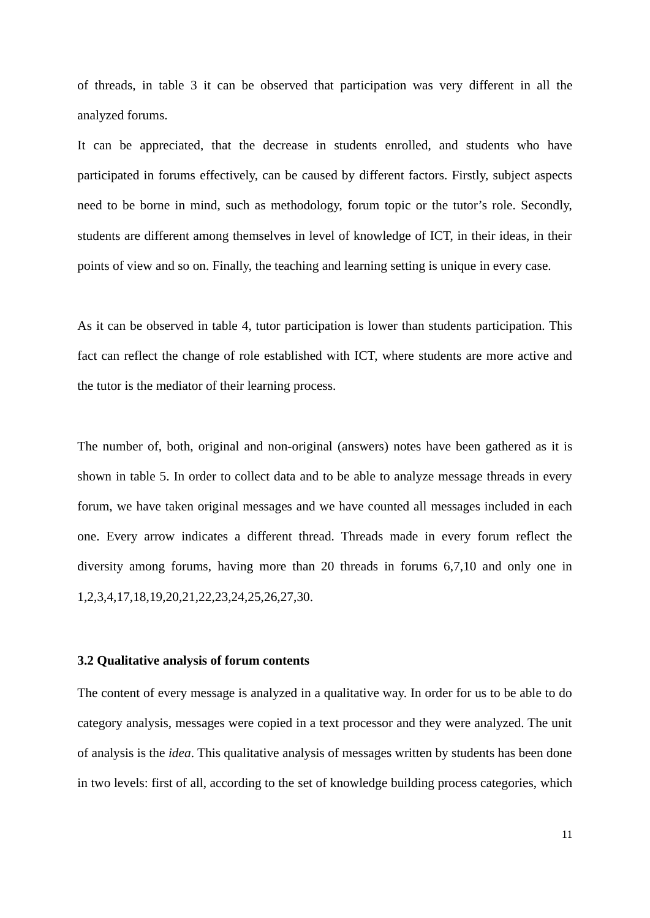of threads, in table 3 it can be observed that participation was very different in all the analyzed forums.

It can be appreciated, that the decrease in students enrolled, and students who have participated in forums effectively, can be caused by different factors. Firstly, subject aspects need to be borne in mind, such as methodology, forum topic or the tutor's role. Secondly, students are different among themselves in level of knowledge of ICT, in their ideas, in their points of view and so on. Finally, the teaching and learning setting is unique in every case.

As it can be observed in table 4, tutor participation is lower than students participation. This fact can reflect the change of role established with ICT, where students are more active and the tutor is the mediator of their learning process.

The number of, both, original and non-original (answers) notes have been gathered as it is shown in table 5. In order to collect data and to be able to analyze message threads in every forum, we have taken original messages and we have counted all messages included in each one. Every arrow indicates a different thread. Threads made in every forum reflect the diversity among forums, having more than 20 threads in forums 6,7,10 and only one in 1,2,3,4,17,18,19,20,21,22,23,24,25,26,27,30.

# **3.2 Qualitative analysis of forum contents**

The content of every message is analyzed in a qualitative way. In order for us to be able to do category analysis, messages were copied in a text processor and they were analyzed. The unit of analysis is the *idea*. This qualitative analysis of messages written by students has been done in two levels: first of all, according to the set of knowledge building process categories, which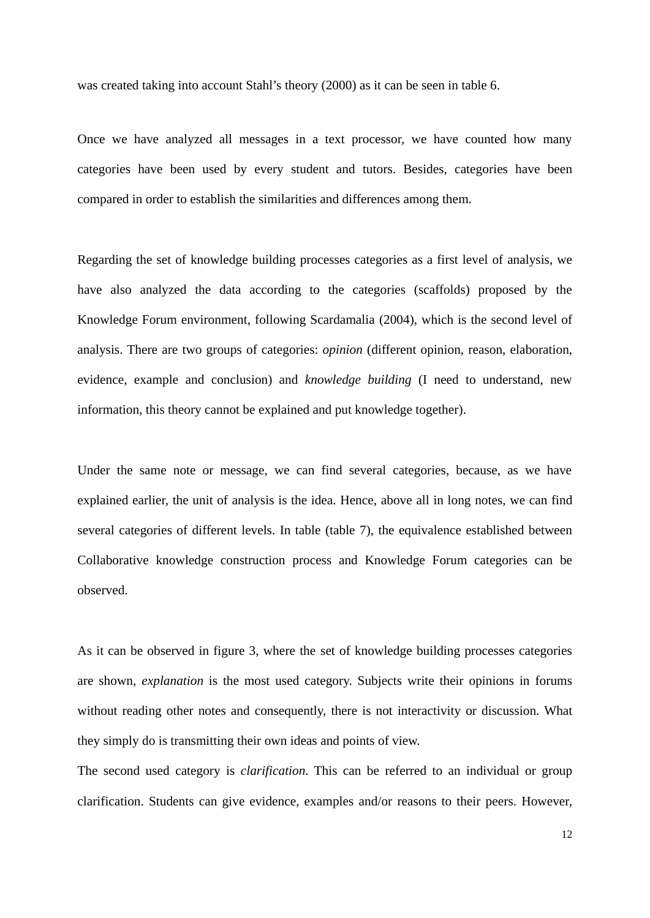was created taking into account Stahl's theory (2000) as it can be seen in table 6.

Once we have analyzed all messages in a text processor, we have counted how many categories have been used by every student and tutors. Besides, categories have been compared in order to establish the similarities and differences among them.

Regarding the set of knowledge building processes categories as a first level of analysis, we have also analyzed the data according to the categories (scaffolds) proposed by the Knowledge Forum environment, following Scardamalia (2004), which is the second level of analysis. There are two groups of categories: *opinion* (different opinion, reason, elaboration, evidence, example and conclusion) and *knowledge building* (I need to understand, new information, this theory cannot be explained and put knowledge together).

Under the same note or message, we can find several categories, because, as we have explained earlier, the unit of analysis is the idea. Hence, above all in long notes, we can find several categories of different levels. In table (table 7), the equivalence established between Collaborative knowledge construction process and Knowledge Forum categories can be observed.

As it can be observed in figure 3, where the set of knowledge building processes categories are shown, *explanation* is the most used category. Subjects write their opinions in forums without reading other notes and consequently, there is not interactivity or discussion. What they simply do is transmitting their own ideas and points of view.

The second used category is *clarification*. This can be referred to an individual or group clarification. Students can give evidence, examples and/or reasons to their peers. However,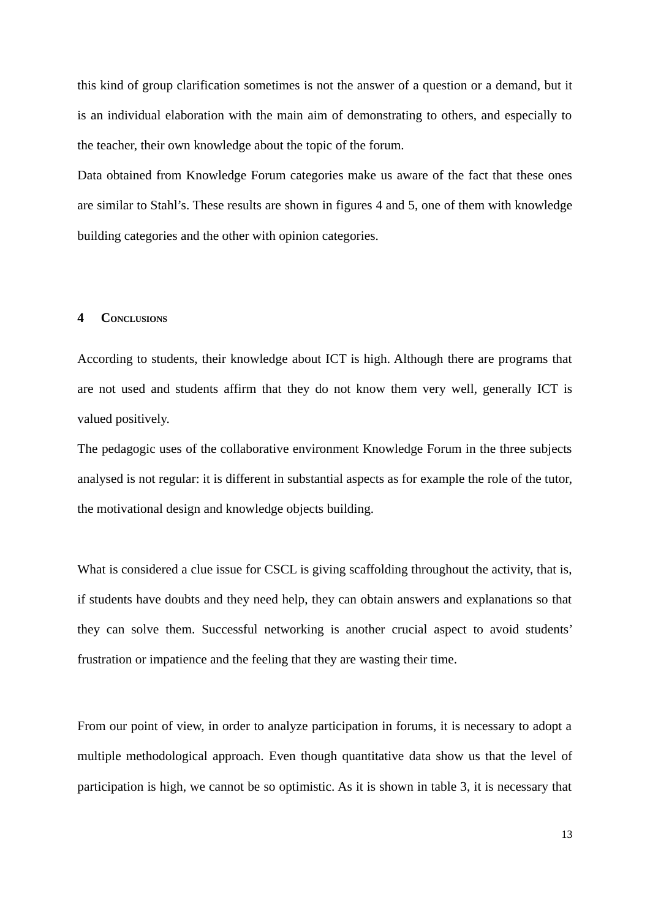this kind of group clarification sometimes is not the answer of a question or a demand, but it is an individual elaboration with the main aim of demonstrating to others, and especially to the teacher, their own knowledge about the topic of the forum.

Data obtained from Knowledge Forum categories make us aware of the fact that these ones are similar to Stahl's. These results are shown in figures 4 and 5, one of them with knowledge building categories and the other with opinion categories.

# **4 CONCLUSIONS**

According to students, their knowledge about ICT is high. Although there are programs that are not used and students affirm that they do not know them very well, generally ICT is valued positively.

The pedagogic uses of the collaborative environment Knowledge Forum in the three subjects analysed is not regular: it is different in substantial aspects as for example the role of the tutor, the motivational design and knowledge objects building.

What is considered a clue issue for CSCL is giving scaffolding throughout the activity, that is, if students have doubts and they need help, they can obtain answers and explanations so that they can solve them. Successful networking is another crucial aspect to avoid students' frustration or impatience and the feeling that they are wasting their time.

From our point of view, in order to analyze participation in forums, it is necessary to adopt a multiple methodological approach. Even though quantitative data show us that the level of participation is high, we cannot be so optimistic. As it is shown in table 3, it is necessary that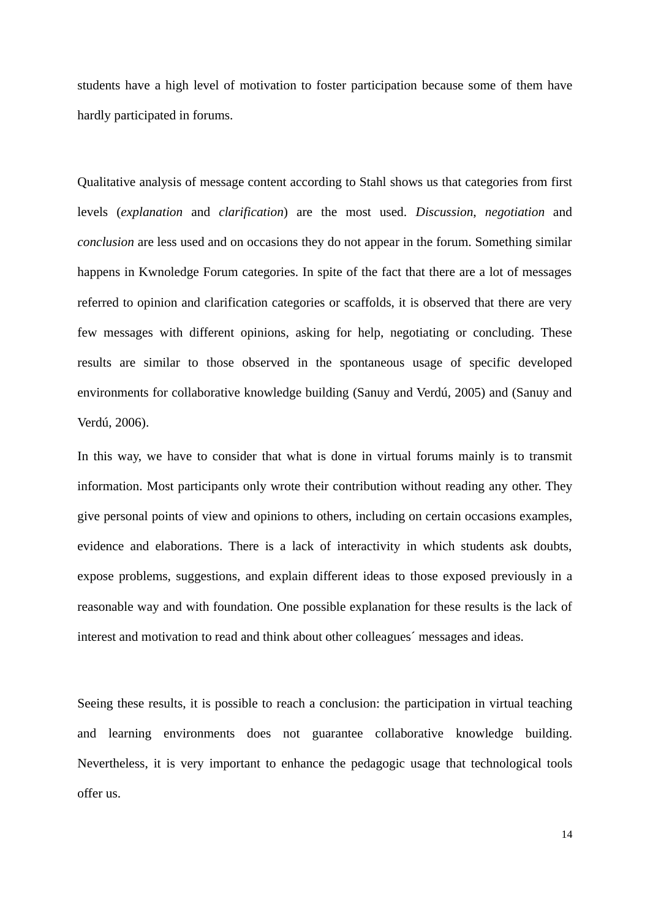students have a high level of motivation to foster participation because some of them have hardly participated in forums.

Qualitative analysis of message content according to Stahl shows us that categories from first levels (*explanation* and *clarification*) are the most used. *Discussion*, *negotiation* and *conclusion* are less used and on occasions they do not appear in the forum. Something similar happens in Kwnoledge Forum categories. In spite of the fact that there are a lot of messages referred to opinion and clarification categories or scaffolds, it is observed that there are very few messages with different opinions, asking for help, negotiating or concluding. These results are similar to those observed in the spontaneous usage of specific developed environments for collaborative knowledge building (Sanuy and Verdú, 2005) and (Sanuy and Verdú, 2006).

In this way, we have to consider that what is done in virtual forums mainly is to transmit information. Most participants only wrote their contribution without reading any other. They give personal points of view and opinions to others, including on certain occasions examples, evidence and elaborations. There is a lack of interactivity in which students ask doubts, expose problems, suggestions, and explain different ideas to those exposed previously in a reasonable way and with foundation. One possible explanation for these results is the lack of interest and motivation to read and think about other colleagues´ messages and ideas.

Seeing these results, it is possible to reach a conclusion: the participation in virtual teaching and learning environments does not guarantee collaborative knowledge building. Nevertheless, it is very important to enhance the pedagogic usage that technological tools offer us.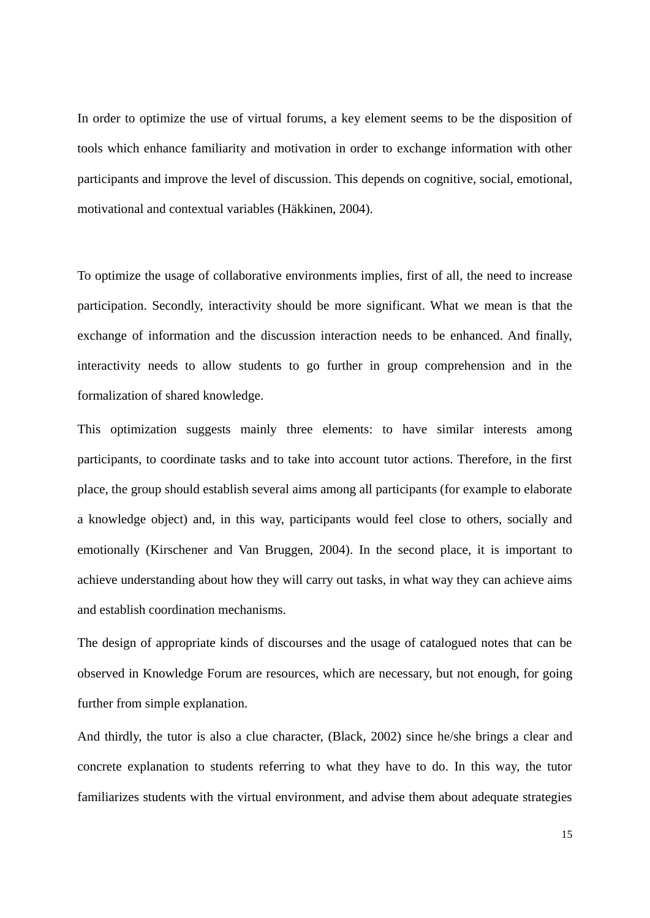In order to optimize the use of virtual forums, a key element seems to be the disposition of tools which enhance familiarity and motivation in order to exchange information with other participants and improve the level of discussion. This depends on cognitive, social, emotional, motivational and contextual variables (Häkkinen, 2004).

To optimize the usage of collaborative environments implies, first of all, the need to increase participation. Secondly, interactivity should be more significant. What we mean is that the exchange of information and the discussion interaction needs to be enhanced. And finally, interactivity needs to allow students to go further in group comprehension and in the formalization of shared knowledge.

This optimization suggests mainly three elements: to have similar interests among participants, to coordinate tasks and to take into account tutor actions. Therefore, in the first place, the group should establish several aims among all participants (for example to elaborate a knowledge object) and, in this way, participants would feel close to others, socially and emotionally (Kirschener and Van Bruggen, 2004). In the second place, it is important to achieve understanding about how they will carry out tasks, in what way they can achieve aims and establish coordination mechanisms.

The design of appropriate kinds of discourses and the usage of catalogued notes that can be observed in Knowledge Forum are resources, which are necessary, but not enough, for going further from simple explanation.

And thirdly, the tutor is also a clue character, (Black, 2002) since he/she brings a clear and concrete explanation to students referring to what they have to do. In this way, the tutor familiarizes students with the virtual environment, and advise them about adequate strategies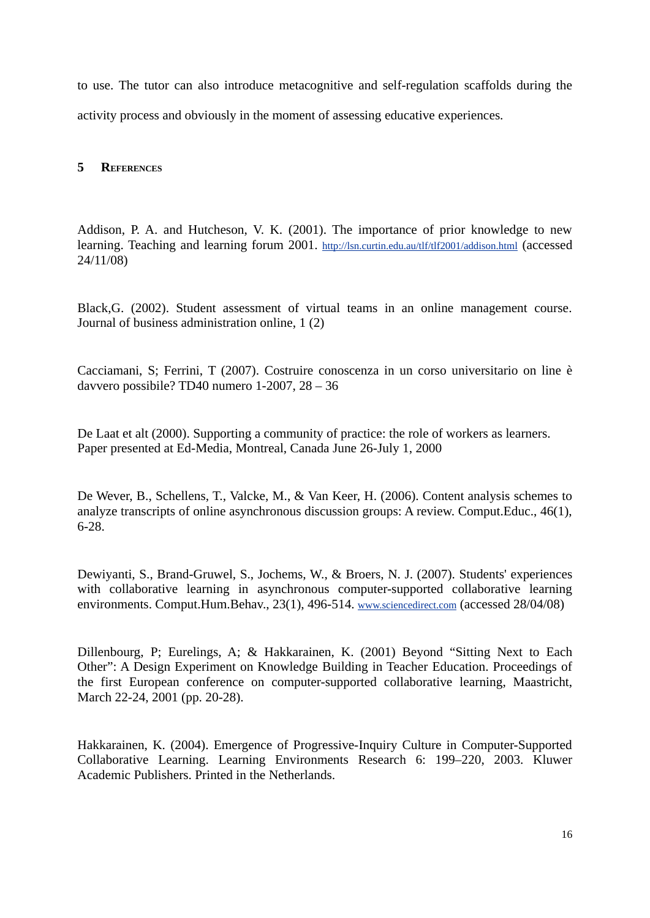to use. The tutor can also introduce metacognitive and self-regulation scaffolds during the activity process and obviously in the moment of assessing educative experiences.

# **5 REFERENCES**

Addison, P. A. and Hutcheson, V. K. (2001). The importance of prior knowledge to new learning. Teaching and learning forum 2001. http://lsn.curtin.edu.au/tlf/tlf2001/addison.html (accessed 24/11/08)

Black,G. (2002). Student assessment of virtual teams in an online management course. Journal of business administration online, 1 (2)

Cacciamani, S; Ferrini, T (2007). Costruire conoscenza in un corso universitario on line è davvero possibile? TD40 numero 1-2007, 28 – 36

De Laat et alt (2000). Supporting a community of practice: the role of workers as learners. Paper presented at Ed-Media, Montreal, Canada June 26-July 1, 2000

De Wever, B., Schellens, T., Valcke, M., & Van Keer, H. (2006). Content analysis schemes to analyze transcripts of online asynchronous discussion groups: A review. Comput.Educ., 46(1), 6-28.

Dewiyanti, S., Brand-Gruwel, S., Jochems, W., & Broers, N. J. (2007). Students' experiences with collaborative learning in asynchronous computer-supported collaborative learning environments. Comput.Hum.Behav., 23(1), 496-514. www.sciencedirect.com (accessed 28/04/08)

Dillenbourg, P; Eurelings, A; & Hakkarainen, K. (2001) Beyond "Sitting Next to Each Other": A Design Experiment on Knowledge Building in Teacher Education. Proceedings of the first European conference on computer-supported collaborative learning, Maastricht, March 22-24, 2001 (pp. 20-28).

Hakkarainen, K. (2004). Emergence of Progressive-Inquiry Culture in Computer-Supported Collaborative Learning. Learning Environments Research 6: 199–220, 2003. Kluwer Academic Publishers. Printed in the Netherlands.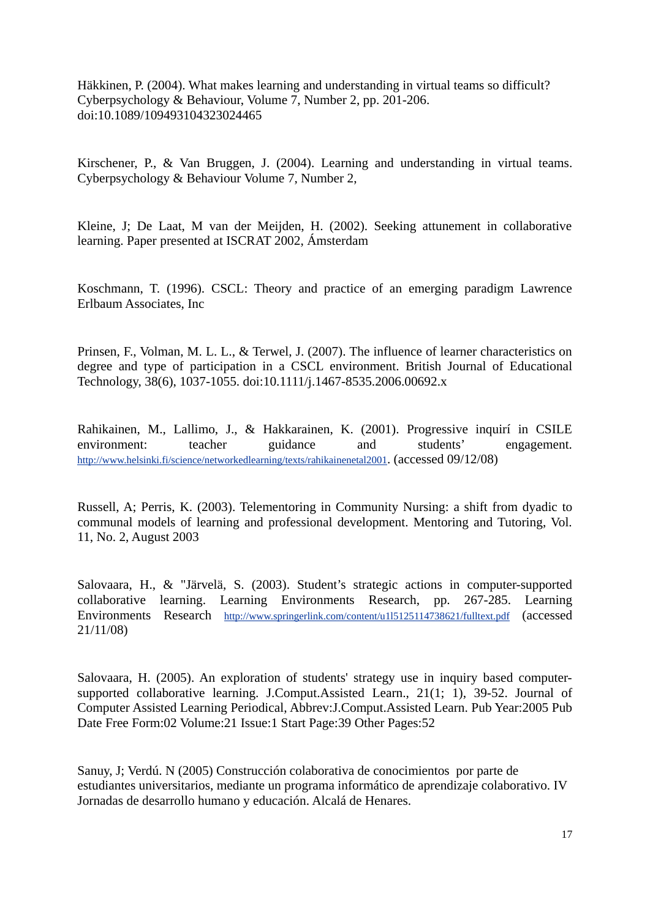Häkkinen, P. (2004). What makes learning and understanding in virtual teams so difficult? Cyberpsychology & Behaviour, Volume 7, Number 2, pp. 201-206. doi:10.1089/109493104323024465

Kirschener, P., & Van Bruggen, J. (2004). Learning and understanding in virtual teams. Cyberpsychology & Behaviour Volume 7, Number 2,

Kleine, J; De Laat, M van der Meijden, H. (2002). Seeking attunement in collaborative learning. Paper presented at ISCRAT 2002, Ámsterdam

Koschmann, T. (1996). CSCL: Theory and practice of an emerging paradigm Lawrence Erlbaum Associates, Inc

Prinsen, F., Volman, M. L. L., & Terwel, J. (2007). The influence of learner characteristics on degree and type of participation in a CSCL environment. British Journal of Educational Technology, 38(6), 1037-1055. doi:10.1111/j.1467-8535.2006.00692.x

Rahikainen, M., Lallimo, J., & Hakkarainen, K. (2001). Progressive inquirí in CSILE environment: teacher guidance and students' engagement. http://www.helsinki.fi/science/networkedlearning/texts/rahikainenetal2001. (accessed 09/12/08)

Russell, A; Perris, K. (2003). Telementoring in Community Nursing: a shift from dyadic to communal models of learning and professional development. Mentoring and Tutoring, Vol. 11, No. 2, August 2003

Salovaara, H., & "Järvelä, S. (2003). Student's strategic actions in computer-supported collaborative learning. Learning Environments Research, pp. 267-285. Learning Environments Research http://www.springerlink.com/content/u115125114738621/fulltext.pdf (accessed 21/11/08)

Salovaara, H. (2005). An exploration of students' strategy use in inquiry based computersupported collaborative learning. J.Comput.Assisted Learn., 21(1; 1), 39-52. Journal of Computer Assisted Learning Periodical, Abbrev:J.Comput.Assisted Learn. Pub Year:2005 Pub Date Free Form:02 Volume:21 Issue:1 Start Page:39 Other Pages:52

Sanuy, J; Verdú. N (2005) Construcción colaborativa de conocimientos por parte de estudiantes universitarios, mediante un programa informático de aprendizaje colaborativo. IV Jornadas de desarrollo humano y educación. Alcalá de Henares.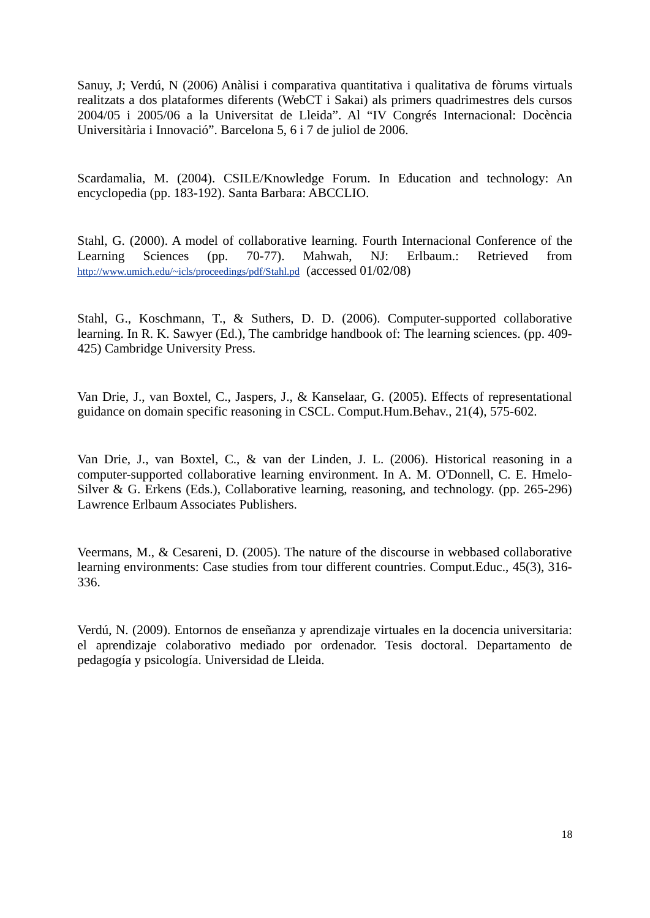Sanuy, J; Verdú, N (2006) Anàlisi i comparativa quantitativa i qualitativa de fòrums virtuals realitzats a dos plataformes diferents (WebCT i Sakai) als primers quadrimestres dels cursos 2004/05 i 2005/06 a la Universitat de Lleida". Al "IV Congrés Internacional: Docència Universitària i Innovació". Barcelona 5, 6 i 7 de juliol de 2006.

Scardamalia, M. (2004). CSILE/Knowledge Forum. In Education and technology: An encyclopedia (pp. 183-192). Santa Barbara: ABCCLIO.

Stahl, G. (2000). A model of collaborative learning. Fourth Internacional Conference of the Learning Sciences (pp. 70-77). Mahwah, NJ: Erlbaum.: Retrieved from http://www.umich.edu/~icls/proceedings/pdf/Stahl.pd (accessed 01/02/08)

Stahl, G., Koschmann, T., & Suthers, D. D. (2006). Computer-supported collaborative learning. In R. K. Sawyer (Ed.), The cambridge handbook of: The learning sciences. (pp. 409- 425) Cambridge University Press.

Van Drie, J., van Boxtel, C., Jaspers, J., & Kanselaar, G. (2005). Effects of representational guidance on domain specific reasoning in CSCL. Comput.Hum.Behav., 21(4), 575-602.

Van Drie, J., van Boxtel, C., & van der Linden, J. L. (2006). Historical reasoning in a computer-supported collaborative learning environment. In A. M. O'Donnell, C. E. Hmelo-Silver & G. Erkens (Eds.), Collaborative learning, reasoning, and technology. (pp. 265-296) Lawrence Erlbaum Associates Publishers.

Veermans, M., & Cesareni, D. (2005). The nature of the discourse in webbased collaborative learning environments: Case studies from tour different countries. Comput.Educ., 45(3), 316- 336.

Verdú, N. (2009). Entornos de enseñanza y aprendizaje virtuales en la docencia universitaria: el aprendizaje colaborativo mediado por ordenador. Tesis doctoral. Departamento de pedagogía y psicología. Universidad de Lleida.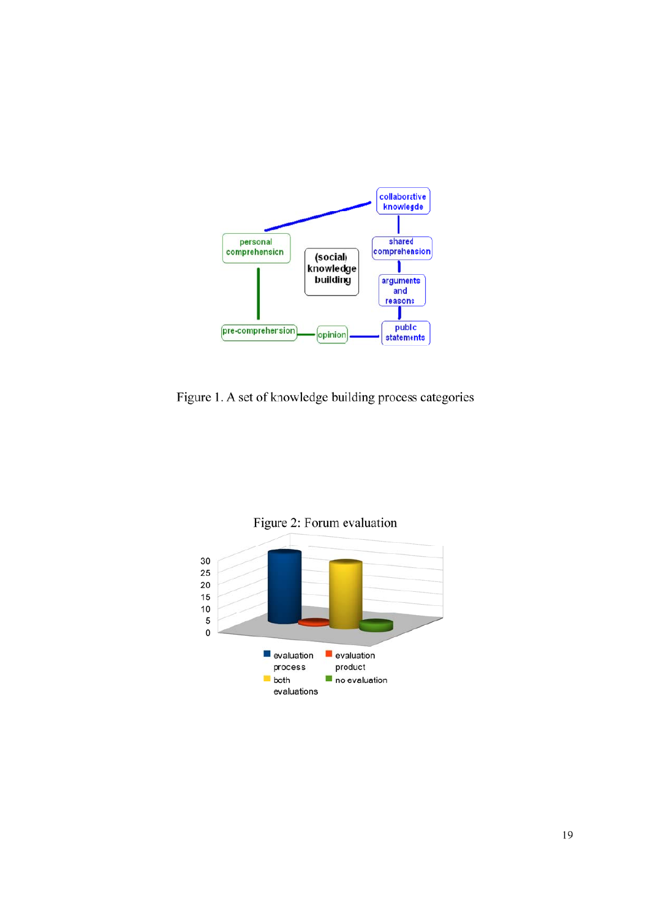

Figure 1. A set of knowledge building process categories

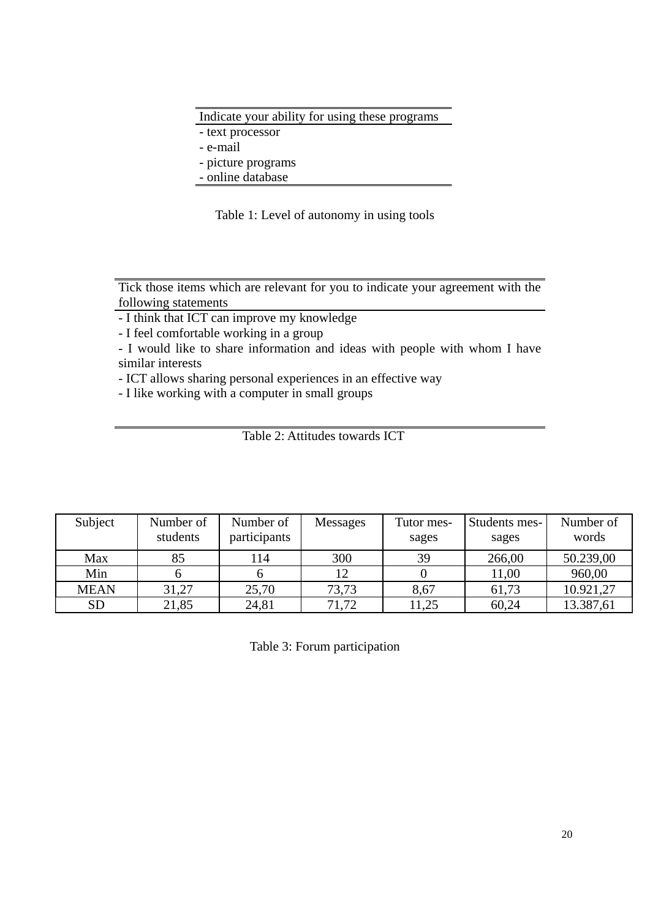# Indicate your ability for using these programs

- text processor

- e-mail

- picture programs

- online database

Table 1: Level of autonomy in using tools

Tick those items which are relevant for you to indicate your agreement with the following statements

- I think that ICT can improve my knowledge

- I feel comfortable working in a group

- I would like to share information and ideas with people with whom I have similar interests

- ICT allows sharing personal experiences in an effective way

- I like working with a computer in small groups

Table 2: Attitudes towards ICT

| Subject     | Number of<br>students | Number of<br>participants | <b>Messages</b> | Tutor mes-<br>sages | Students mes-<br>sages | Number of<br>words |
|-------------|-----------------------|---------------------------|-----------------|---------------------|------------------------|--------------------|
| Max         | 85                    | 114                       | 300             | 39                  | 266,00                 | 50.239,00          |
| Min         |                       |                           |                 |                     | 11,00                  | 960,00             |
| <b>MEAN</b> | 31,27                 | 25,70                     | 73,73           | 8,67                | 61,73                  | 10.921,27          |
| <b>SD</b>   | 21,85                 | 24,81                     | 71,72           | 11,25               | 60,24                  | 13.387,61          |

Table 3: Forum participation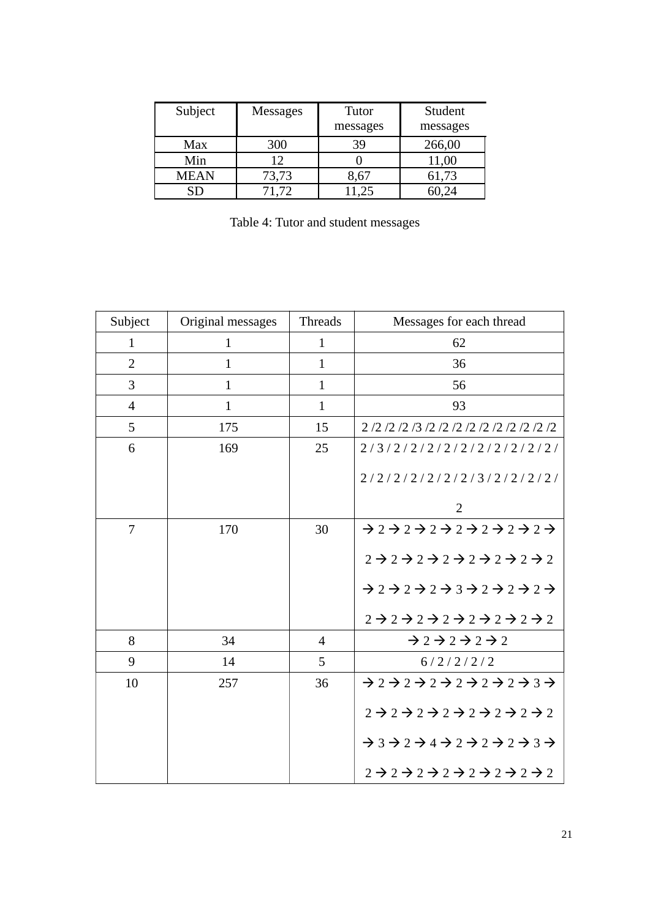| Subject     | Messages | Tutor<br>messages | Student<br>messages |
|-------------|----------|-------------------|---------------------|
| Max         | 300      | 39                | 266,00              |
| Min         | 12       |                   | 11,00               |
| <b>MEAN</b> | 73,73    | 8,67              | 61,73               |
|             | 71.72    | (1.25)            | 60.24               |

Table 4: Tutor and student messages

| Subject        | Original messages | Threads        | Messages for each thread                                                                                                      |
|----------------|-------------------|----------------|-------------------------------------------------------------------------------------------------------------------------------|
| $\mathbf{1}$   | $\mathbf{1}$      | $\mathbf{1}$   | 62                                                                                                                            |
| $\overline{2}$ | $\mathbf{1}$      | $\mathbf{1}$   | 36                                                                                                                            |
| 3              | $\mathbf{1}$      | $\mathbf{1}$   | 56                                                                                                                            |
| $\overline{4}$ | $\mathbf{1}$      | $\mathbf{1}$   | 93                                                                                                                            |
| 5              | 175               | 15             | 2/2/2/2/3/2/2/2/2/2/2/2/2/2/2                                                                                                 |
| 6              | 169               | 25             | 2/3/2/2/2/2/2/2/2/2/2/2/2/2/                                                                                                  |
|                |                   |                | 2/2/2/2/2/2/2/3/2/2/2/2/2/                                                                                                    |
|                |                   |                | $\overline{2}$                                                                                                                |
| $\tau$         | 170               | 30             | 222222222222                                                                                                                  |
|                |                   |                | $2 \rightarrow 2 \rightarrow 2 \rightarrow 2 \rightarrow 2 \rightarrow 2 \rightarrow 2$                                       |
|                |                   |                | 2222222222222                                                                                                                 |
|                |                   |                | $2 \rightarrow 2 \rightarrow 2 \rightarrow 2 \rightarrow 2 \rightarrow 2 \rightarrow 2$                                       |
| 8              | 34                | $\overline{4}$ | $\rightarrow$ 2 $\rightarrow$ 2 $\rightarrow$ 2 $\rightarrow$ 2                                                               |
| 9              | 14                | 5              | 6/2/2/2/2                                                                                                                     |
| 10             | 257               | 36             | 2222222222222                                                                                                                 |
|                |                   |                | $2 \rightarrow 2 \rightarrow 2 \rightarrow 2 \rightarrow 2 \rightarrow 2 \rightarrow 2$                                       |
|                |                   |                | $\rightarrow$ 3 $\rightarrow$ 2 $\rightarrow$ 4 $\rightarrow$ 2 $\rightarrow$ 2 $\rightarrow$ 2 $\rightarrow$ 3 $\rightarrow$ |
|                |                   |                | $2 \rightarrow 2 \rightarrow 2 \rightarrow 2 \rightarrow 2 \rightarrow 2 \rightarrow 2 \rightarrow 2$                         |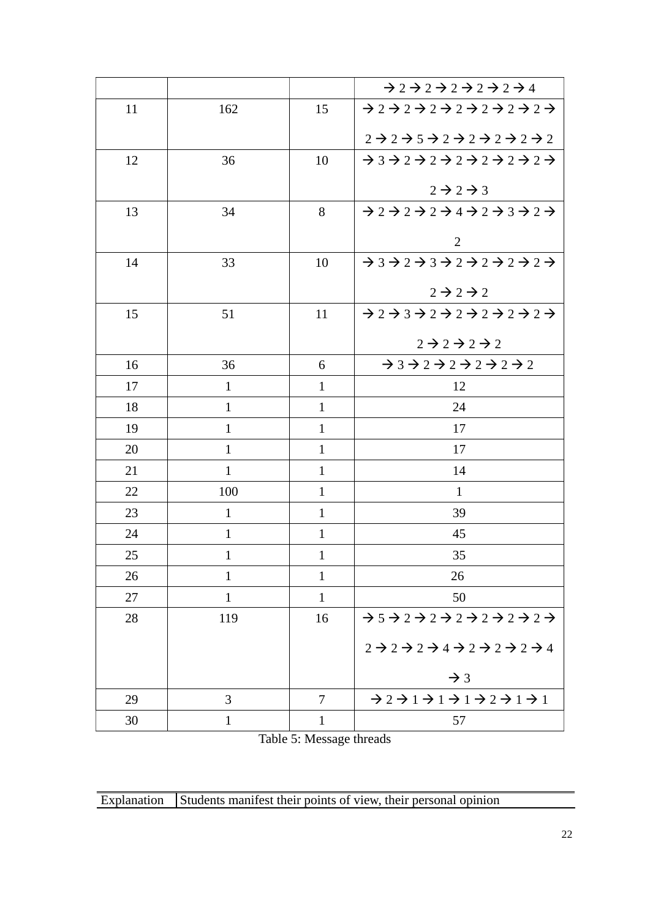|    |              |              | $\rightarrow$ 2 $\rightarrow$ 2 $\rightarrow$ 2 $\rightarrow$ 2 $\rightarrow$ 4                                               |
|----|--------------|--------------|-------------------------------------------------------------------------------------------------------------------------------|
| 11 | 162          | 15           | 22222222222222                                                                                                                |
|    |              |              | $2 \rightarrow 2 \rightarrow 5 \rightarrow 2 \rightarrow 2 \rightarrow 2 \rightarrow 2 \rightarrow 2$                         |
| 12 | 36           | 10           | $\rightarrow$ 3 $\rightarrow$ 2 $\rightarrow$ 2 $\rightarrow$ 2 $\rightarrow$ 2 $\rightarrow$ 2 $\rightarrow$ 2 $\rightarrow$ |
|    |              |              | $2 \rightarrow 2 \rightarrow 3$                                                                                               |
| 13 | 34           | 8            | $\rightarrow$ 2 $\rightarrow$ 2 $\rightarrow$ 2 $\rightarrow$ 4 $\rightarrow$ 2 $\rightarrow$ 3 $\rightarrow$ 2 $\rightarrow$ |
|    |              |              | $\overline{2}$                                                                                                                |
| 14 | 33           | 10           | $\rightarrow$ 3 $\rightarrow$ 2 $\rightarrow$ 3 $\rightarrow$ 2 $\rightarrow$ 2 $\rightarrow$ 2 $\rightarrow$ 2 $\rightarrow$ |
|    |              |              |                                                                                                                               |
|    |              |              | $2 \rightarrow 2 \rightarrow 2$                                                                                               |
| 15 | 51           | 11           | $\rightarrow$ 2 $\rightarrow$ 3 $\rightarrow$ 2 $\rightarrow$ 2 $\rightarrow$ 2 $\rightarrow$ 2 $\rightarrow$ 2 $\rightarrow$ |
|    |              |              | $2 \rightarrow 2 \rightarrow 2 \rightarrow 2$                                                                                 |
| 16 | 36           | 6            | $\rightarrow$ 3 $\rightarrow$ 2 $\rightarrow$ 2 $\rightarrow$ 2 $\rightarrow$ 2 $\rightarrow$ 2                               |
| 17 | $\mathbf{1}$ | $\mathbf{1}$ | 12                                                                                                                            |
| 18 | $\mathbf{1}$ | $\mathbf{1}$ | 24                                                                                                                            |
| 19 | $\mathbf{1}$ | $\mathbf{1}$ | 17                                                                                                                            |
| 20 | $\mathbf{1}$ | $\mathbf{1}$ | 17                                                                                                                            |
| 21 | $\mathbf{1}$ | $\mathbf{1}$ | 14                                                                                                                            |
| 22 | 100          | $\mathbf{1}$ | $\mathbf{1}$                                                                                                                  |
| 23 | $\mathbf{1}$ | $\mathbf{1}$ | 39                                                                                                                            |
| 24 | $\mathbf{1}$ | $\mathbf{1}$ | 45                                                                                                                            |
| 25 | $\mathbf{1}$ | $\mathbf{1}$ | 35                                                                                                                            |
| 26 | $\mathbf{1}$ | $\mathbf{1}$ | 26                                                                                                                            |
| 27 | $\mathbf{1}$ | $\mathbf{1}$ | 50                                                                                                                            |
| 28 | 119          | 16           | $\rightarrow$ 5 $\rightarrow$ 2 $\rightarrow$ 2 $\rightarrow$ 2 $\rightarrow$ 2 $\rightarrow$ 2 $\rightarrow$ 2 $\rightarrow$ |
|    |              |              | $2 \rightarrow 2 \rightarrow 2 \rightarrow 4 \rightarrow 2 \rightarrow 2 \rightarrow 2 \rightarrow 4$                         |
|    |              |              | $\rightarrow$ 3                                                                                                               |
| 29 | 3            | $\tau$       | $\rightarrow$ 2 $\rightarrow$ 1 $\rightarrow$ 1 $\rightarrow$ 1 $\rightarrow$ 2 $\rightarrow$ 1 $\rightarrow$ 1               |
| 30 | $\mathbf{1}$ | $\mathbf{1}$ | 57                                                                                                                            |

Table 5: Message threads

| Explanation Students manifest their points of view, their personal opinion |
|----------------------------------------------------------------------------|
|----------------------------------------------------------------------------|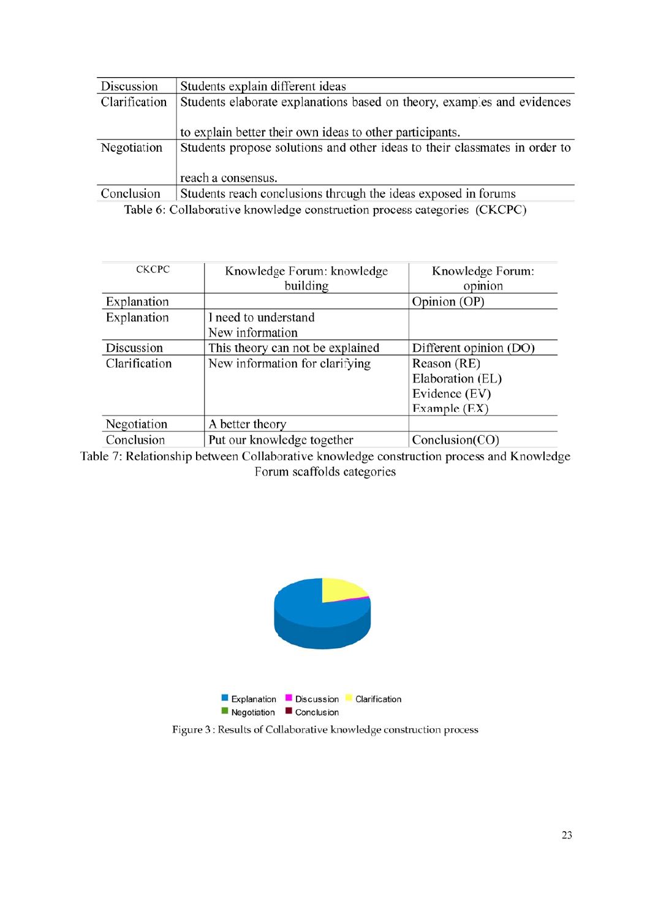| Discussion    | Students explain different ideas                                           |  |  |
|---------------|----------------------------------------------------------------------------|--|--|
| Clarification | Students elaborate explanations based on theory, examples and evidences    |  |  |
|               |                                                                            |  |  |
|               | to explain better their own ideas to other participants.                   |  |  |
| Negotiation   | Students propose solutions and other ideas to their classmates in order to |  |  |
|               |                                                                            |  |  |
|               | reach a consensus.                                                         |  |  |
| Conclusion    | Students reach conclusions through the ideas exposed in forums             |  |  |
|               |                                                                            |  |  |

Table 6: Collaborative knowledge construction process categories (CKCPC)

| <b>CKCPC</b>  | Knowledge Forum: knowledge       | Knowledge Forum:       |
|---------------|----------------------------------|------------------------|
|               | building                         | opinion                |
| Explanation   |                                  | Opinion (OP)           |
| Explanation   | I need to understand             |                        |
|               | New information                  |                        |
| Discussion    | This theory can not be explained | Different opinion (DO) |
| Clarification | New information for clarifying   | Reason (RE)            |
|               |                                  | Elaboration (EL)       |
|               |                                  | Evidence (EV)          |
|               |                                  | Example (EX)           |
| Negotiation   | A better theory                  |                        |
| Conclusion    | Put our knowledge together       | Conclusion(CO)         |

Table 7: Relationship between Collaborative knowledge construction process and Knowledge Forum scaffolds categories